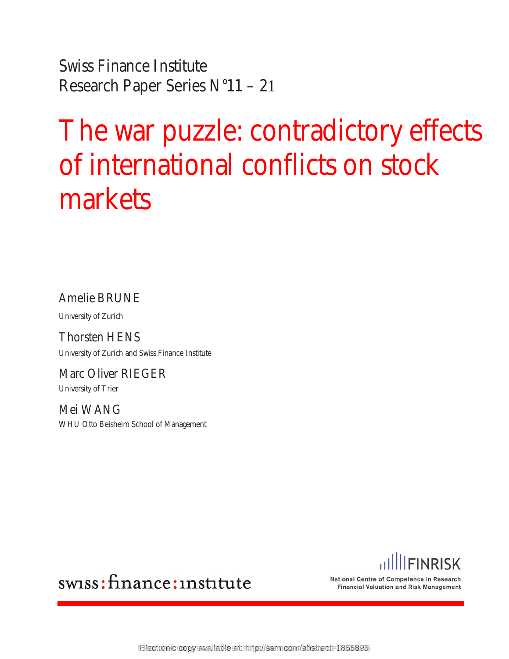Swiss Finance Institute Research Paper Series N°11 – 21

# The war puzzle: contradictory effects of international conflicts on stock markets

Amelie BRUNE

University of Zurich

Thorsten HENS University of Zurich and Swiss Finance Institute

Marc Oliver RIEGER University of Trier

Mei WANG WHU Otto Beisheim School of Management



National Centre of Competence in Research **Financial Valuation and Risk Management** 

# swiss: finance: institute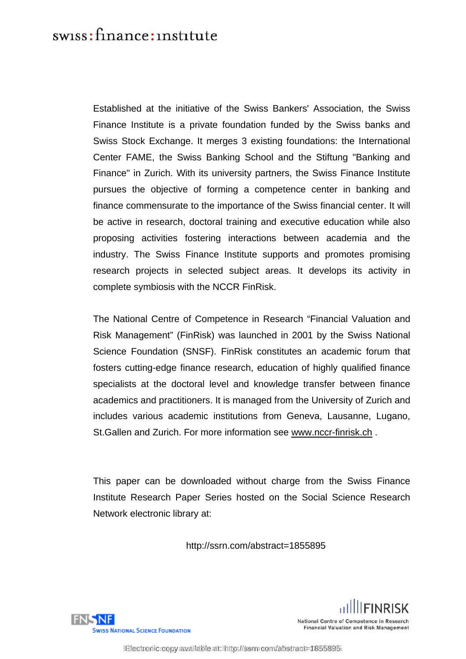Established at the initiative of the Swiss Bankers' Association, the Swiss Finance Institute is a private foundation funded by the Swiss banks and Swiss Stock Exchange. It merges 3 existing foundations: the International Center FAME, the Swiss Banking School and the Stiftung "Banking and Finance" in Zurich. With its university partners, the Swiss Finance Institute pursues the objective of forming a competence center in banking and finance commensurate to the importance of the Swiss financial center. It will be active in research, doctoral training and executive education while also proposing activities fostering interactions between academia and the industry. The Swiss Finance Institute supports and promotes promising research projects in selected subject areas. It develops its activity in complete symbiosis with the NCCR FinRisk.

The National Centre of Competence in Research "Financial Valuation and Risk Management" (FinRisk) was launched in 2001 by the Swiss National Science Foundation (SNSF). FinRisk constitutes an academic forum that fosters cutting-edge finance research, education of highly qualified finance specialists at the doctoral level and knowledge transfer between finance academics and practitioners. It is managed from the University of Zurich and includes various academic institutions from Geneva, Lausanne, Lugano, St.Gallen and Zurich. For more information see www.nccr-finrisk.ch .

This paper can be downloaded without charge from the Swiss Finance Institute Research Paper Series hosted on the Social Science Research Network electronic library at:

http://ssrn.com/abstract=1855895

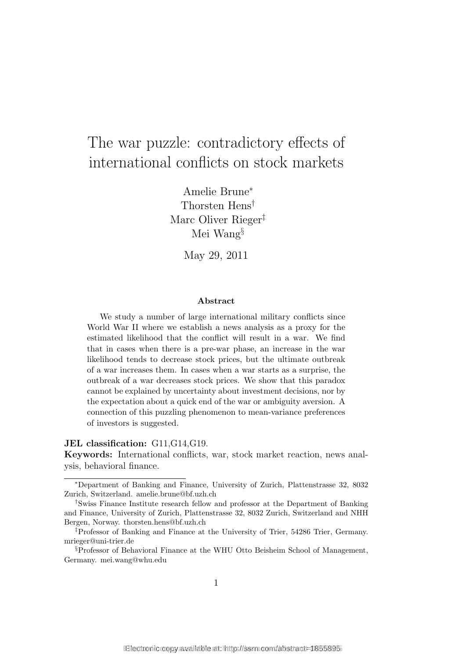# The war puzzle: contradictory effects of international conflicts on stock markets

Amelie Brune<sup>∗</sup> Thorsten Hens† Marc Oliver Rieger‡ Mei Wang§

May 29, 2011

#### Abstract

We study a number of large international military conflicts since World War II where we establish a news analysis as a proxy for the estimated likelihood that the conflict will result in a war. We find that in cases when there is a pre-war phase, an increase in the war likelihood tends to decrease stock prices, but the ultimate outbreak of a war increases them. In cases when a war starts as a surprise, the outbreak of a war decreases stock prices. We show that this paradox cannot be explained by uncertainty about investment decisions, nor by the expectation about a quick end of the war or ambiguity aversion. A connection of this puzzling phenomenon to mean-variance preferences of investors is suggested.

#### JEL classification: G11,G14,G19.

Keywords: International conflicts, war, stock market reaction, news analysis, behavioral finance.

<sup>∗</sup>Department of Banking and Finance, University of Zurich, Plattenstrasse 32, 8032 Zurich, Switzerland. amelie.brune@bf.uzh.ch

<sup>†</sup>Swiss Finance Institute research fellow and professor at the Department of Banking and Finance, University of Zurich, Plattenstrasse 32, 8032 Zurich, Switzerland and NHH Bergen, Norway. thorsten.hens@bf.uzh.ch

<sup>‡</sup>Professor of Banking and Finance at the University of Trier, 54286 Trier, Germany. mrieger@uni-trier.de

<sup>§</sup>Professor of Behavioral Finance at the WHU Otto Beisheim School of Management, Germany. mei.wang@whu.edu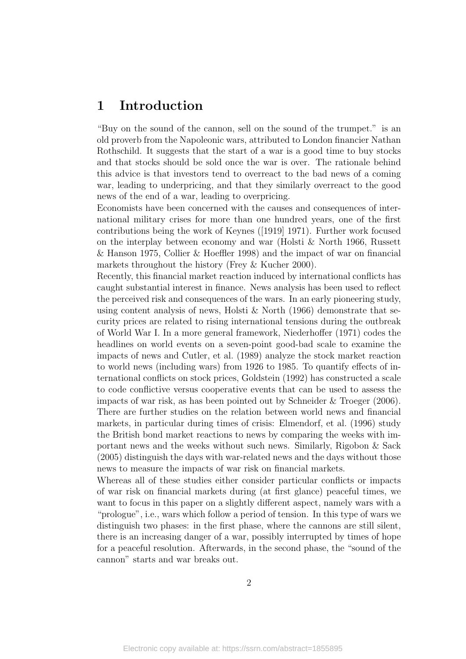# 1 Introduction

"Buy on the sound of the cannon, sell on the sound of the trumpet." is an old proverb from the Napoleonic wars, attributed to London financier Nathan Rothschild. It suggests that the start of a war is a good time to buy stocks and that stocks should be sold once the war is over. The rationale behind this advice is that investors tend to overreact to the bad news of a coming war, leading to underpricing, and that they similarly overreact to the good news of the end of a war, leading to overpricing.

Economists have been concerned with the causes and consequences of international military crises for more than one hundred years, one of the first contributions being the work of Keynes ([1919] 1971). Further work focused on the interplay between economy and war (Holsti & North 1966, Russett & Hanson 1975, Collier & Hoeffler 1998) and the impact of war on financial markets throughout the history (Frey & Kucher 2000).

Recently, this financial market reaction induced by international conflicts has caught substantial interest in finance. News analysis has been used to reflect the perceived risk and consequences of the wars. In an early pioneering study, using content analysis of news, Holsti  $\&$  North (1966) demonstrate that security prices are related to rising international tensions during the outbreak of World War I. In a more general framework, Niederhoffer (1971) codes the headlines on world events on a seven-point good-bad scale to examine the impacts of news and Cutler, et al. (1989) analyze the stock market reaction to world news (including wars) from 1926 to 1985. To quantify effects of international conflicts on stock prices, Goldstein (1992) has constructed a scale to code conflictive versus cooperative events that can be used to assess the impacts of war risk, as has been pointed out by Schneider & Troeger (2006). There are further studies on the relation between world news and financial markets, in particular during times of crisis: Elmendorf, et al. (1996) study the British bond market reactions to news by comparing the weeks with important news and the weeks without such news. Similarly, Rigobon & Sack (2005) distinguish the days with war-related news and the days without those news to measure the impacts of war risk on financial markets.

Whereas all of these studies either consider particular conflicts or impacts of war risk on financial markets during (at first glance) peaceful times, we want to focus in this paper on a slightly different aspect, namely wars with a "prologue", i.e., wars which follow a period of tension. In this type of wars we distinguish two phases: in the first phase, where the cannons are still silent, there is an increasing danger of a war, possibly interrupted by times of hope for a peaceful resolution. Afterwards, in the second phase, the "sound of the cannon" starts and war breaks out.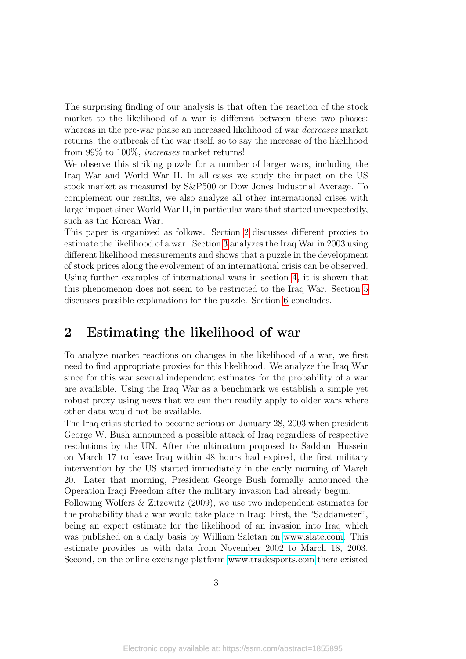The surprising finding of our analysis is that often the reaction of the stock market to the likelihood of a war is different between these two phases: whereas in the pre-war phase an increased likelihood of war decreases market returns, the outbreak of the war itself, so to say the increase of the likelihood from 99% to 100%, increases market returns!

We observe this striking puzzle for a number of larger wars, including the Iraq War and World War II. In all cases we study the impact on the US stock market as measured by S&P500 or Dow Jones Industrial Average. To complement our results, we also analyze all other international crises with large impact since World War II, in particular wars that started unexpectedly, such as the Korean War.

This paper is organized as follows. Section [2](#page-4-0) discusses different proxies to estimate the likelihood of a war. Section [3](#page-5-0) analyzes the Iraq War in 2003 using different likelihood measurements and shows that a puzzle in the development of stock prices along the evolvement of an international crisis can be observed. Using further examples of international wars in section [4,](#page-11-0) it is shown that this phenomenon does not seem to be restricted to the Iraq War. Section [5](#page-21-0) discusses possible explanations for the puzzle. Section [6](#page-27-0) concludes.

# <span id="page-4-0"></span>2 Estimating the likelihood of war

To analyze market reactions on changes in the likelihood of a war, we first need to find appropriate proxies for this likelihood. We analyze the Iraq War since for this war several independent estimates for the probability of a war are available. Using the Iraq War as a benchmark we establish a simple yet robust proxy using news that we can then readily apply to older wars where other data would not be available.

The Iraq crisis started to become serious on January 28, 2003 when president George W. Bush announced a possible attack of Iraq regardless of respective resolutions by the UN. After the ultimatum proposed to Saddam Hussein on March 17 to leave Iraq within 48 hours had expired, the first military intervention by the US started immediately in the early morning of March 20. Later that morning, President George Bush formally announced the Operation Iraqi Freedom after the military invasion had already begun.

Following Wolfers & Zitzewitz (2009), we use two independent estimates for the probability that a war would take place in Iraq: First, the "Saddameter", being an expert estimate for the likelihood of an invasion into Iraq which was published on a daily basis by William Saletan on [www.slate.com.](http://www.slate.com) This estimate provides us with data from November 2002 to March 18, 2003. Second, on the online exchange platform [www.tradesports.com](http://www.tradesports.com) there existed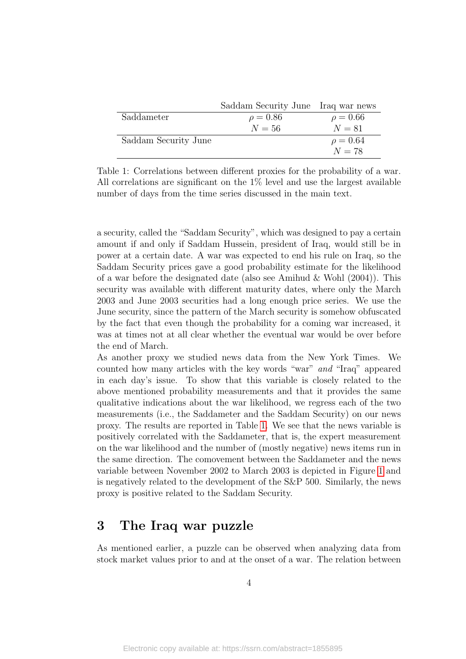<span id="page-5-1"></span>

|                      | Saddam Security June Iraq war news |               |
|----------------------|------------------------------------|---------------|
| Saddameter           | $\rho = 0.86$                      | $\rho = 0.66$ |
|                      | $N=56$                             | $N = 81$      |
| Saddam Security June |                                    | $\rho = 0.64$ |
|                      |                                    | $N=78$        |

Table 1: Correlations between different proxies for the probability of a war. All correlations are significant on the 1% level and use the largest available number of days from the time series discussed in the main text.

a security, called the "Saddam Security", which was designed to pay a certain amount if and only if Saddam Hussein, president of Iraq, would still be in power at a certain date. A war was expected to end his rule on Iraq, so the Saddam Security prices gave a good probability estimate for the likelihood of a war before the designated date (also see Amihud & Wohl  $(2004)$ ). This security was available with different maturity dates, where only the March 2003 and June 2003 securities had a long enough price series. We use the June security, since the pattern of the March security is somehow obfuscated by the fact that even though the probability for a coming war increased, it was at times not at all clear whether the eventual war would be over before the end of March.

As another proxy we studied news data from the New York Times. We counted how many articles with the key words "war" and "Iraq" appeared in each day's issue. To show that this variable is closely related to the above mentioned probability measurements and that it provides the same qualitative indications about the war likelihood, we regress each of the two measurements (i.e., the Saddameter and the Saddam Security) on our news proxy. The results are reported in Table [1.](#page-5-1) We see that the news variable is positively correlated with the Saddameter, that is, the expert measurement on the war likelihood and the number of (mostly negative) news items run in the same direction. The comovement between the Saddameter and the news variable between November 2002 to March 2003 is depicted in Figure [1](#page-6-0) and is negatively related to the development of the S&P 500. Similarly, the news proxy is positive related to the Saddam Security.

# <span id="page-5-0"></span>3 The Iraq war puzzle

As mentioned earlier, a puzzle can be observed when analyzing data from stock market values prior to and at the onset of a war. The relation between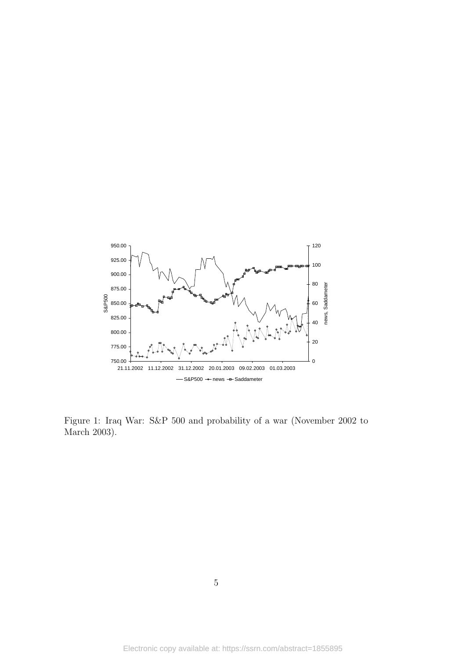<span id="page-6-0"></span>

Figure 1: Iraq War: S&P 500 and probability of a war (November 2002 to March 2003).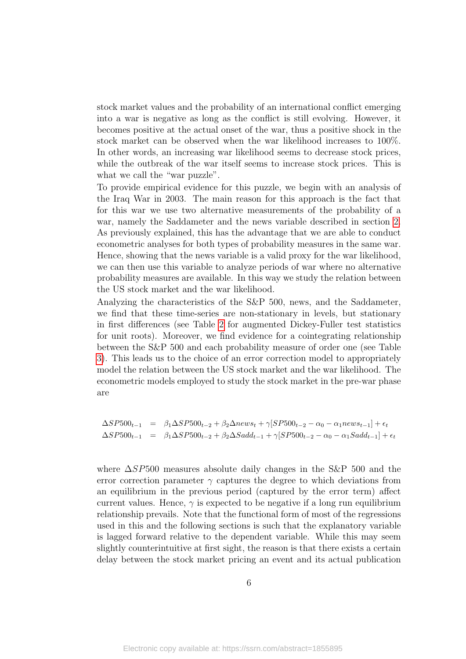stock market values and the probability of an international conflict emerging into a war is negative as long as the conflict is still evolving. However, it becomes positive at the actual onset of the war, thus a positive shock in the stock market can be observed when the war likelihood increases to 100%. In other words, an increasing war likelihood seems to decrease stock prices, while the outbreak of the war itself seems to increase stock prices. This is what we call the "war puzzle".

To provide empirical evidence for this puzzle, we begin with an analysis of the Iraq War in 2003. The main reason for this approach is the fact that for this war we use two alternative measurements of the probability of a war, namely the Saddameter and the news variable described in section [2.](#page-4-0) As previously explained, this has the advantage that we are able to conduct econometric analyses for both types of probability measures in the same war. Hence, showing that the news variable is a valid proxy for the war likelihood, we can then use this variable to analyze periods of war where no alternative probability measures are available. In this way we study the relation between the US stock market and the war likelihood.

Analyzing the characteristics of the S&P 500, news, and the Saddameter, we find that these time-series are non-stationary in levels, but stationary in first differences (see Table [2](#page-8-0) for augmented Dickey-Fuller test statistics for unit roots). Moreover, we find evidence for a cointegrating relationship between the S&P 500 and each probability measure of order one (see Table [3\)](#page-8-1). This leads us to the choice of an error correction model to appropriately model the relation between the US stock market and the war likelihood. The econometric models employed to study the stock market in the pre-war phase are

$$
\Delta SP500_{t-1} = \beta_1 \Delta SP500_{t-2} + \beta_2 \Delta news_t + \gamma [SP500_{t-2} - \alpha_0 - \alpha_1 news_{t-1}] + \epsilon_t
$$
  

$$
\Delta SP500_{t-1} = \beta_1 \Delta SP500_{t-2} + \beta_2 \Delta Sadd_{t-1} + \gamma [SP500_{t-2} - \alpha_0 - \alpha_1 Sadd_{t-1}] + \epsilon_t
$$

where ∆SP500 measures absolute daily changes in the S&P 500 and the error correction parameter  $\gamma$  captures the degree to which deviations from an equilibrium in the previous period (captured by the error term) affect current values. Hence,  $\gamma$  is expected to be negative if a long run equilibrium relationship prevails. Note that the functional form of most of the regressions used in this and the following sections is such that the explanatory variable is lagged forward relative to the dependent variable. While this may seem slightly counterintuitive at first sight, the reason is that there exists a certain delay between the stock market pricing an event and its actual publication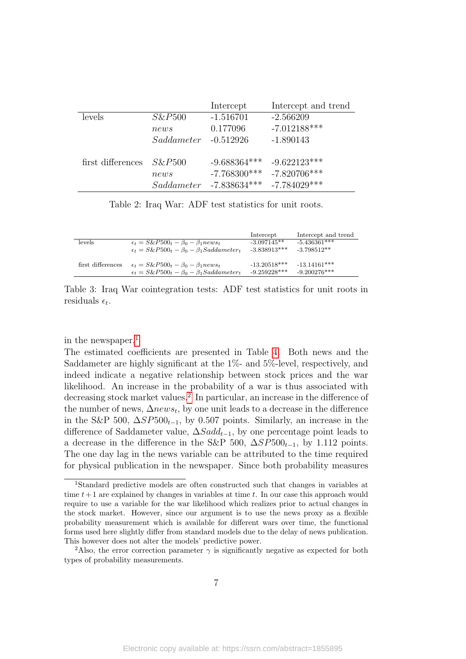<span id="page-8-0"></span>

|                   |                            | Intercept                 | Intercept and trend |
|-------------------|----------------------------|---------------------------|---------------------|
| levels            | <i>S</i> &P <sub>500</sub> | $-1.516701$               | $-2.566209$         |
|                   | news                       | 0.177096                  | $-7.012188***$      |
|                   | Saddameter                 | $-0.512926$               | $-1.890143$         |
|                   |                            |                           |                     |
| first differences | <i>S</i> &P <sub>500</sub> | $-9.688364***$            | $-9.622123***$      |
|                   | news                       | $-7.768300***$            | $-7.820706***$      |
|                   |                            | $Saddameter -7.838634***$ | $-7.784029***$      |

Table 2: Iraq War: ADF test statistics for unit roots.

<span id="page-8-1"></span>

|                   |                                                                                                                 | Intercept                        | Intercept and trend              |
|-------------------|-----------------------------------------------------------------------------------------------------------------|----------------------------------|----------------------------------|
| levels            | $\epsilon_t = S\&P500_t - \beta_0 - \beta_1 news_t$                                                             | $-3.097145**$                    | $-5.436361***$                   |
|                   | $\epsilon_t = S\&P500_t - \beta_0 - \beta_1Saddameter_t$                                                        | $-3.838913***$                   | $-3.798512**$                    |
| first differences | $\epsilon_t = S\&P500_t - \beta_0 - \beta_1 news_t$<br>$\epsilon_t = S\&P500_t - \beta_0 - \beta_1Saddameter_t$ | $-13.20518***$<br>$-9.259228***$ | $-13.14161***$<br>$-9.200276***$ |

Table 3: Iraq War cointegration tests: ADF test statistics for unit roots in residuals  $\epsilon_t$ .

in the newspaper. $<sup>1</sup>$  $<sup>1</sup>$  $<sup>1</sup>$ </sup>

The estimated coefficients are presented in Table [4.](#page-9-0) Both news and the Saddameter are highly significant at the 1%- and 5%-level, respectively, and indeed indicate a negative relationship between stock prices and the war likelihood. An increase in the probability of a war is thus associated with decreasing stock market values.<sup>[2](#page-8-3)</sup> In particular, an increase in the difference of the number of news,  $\Delta news_t$ , by one unit leads to a decrease in the difference in the S&P 500,  $\Delta SP500_{t-1}$ , by 0.507 points. Similarly, an increase in the difference of Saddameter value,  $\Delta Sadd_{t-1}$ , by one percentage point leads to a decrease in the difference in the S&P 500,  $\Delta SP500_{t-1}$ , by 1.112 points. The one day lag in the news variable can be attributed to the time required for physical publication in the newspaper. Since both probability measures

<span id="page-8-2"></span><sup>1</sup>Standard predictive models are often constructed such that changes in variables at time  $t+1$  are explained by changes in variables at time t. In our case this approach would require to use a variable for the war likelihood which realizes prior to actual changes in the stock market. However, since our argument is to use the news proxy as a flexible probability measurement which is available for different wars over time, the functional forms used here slightly differ from standard models due to the delay of news publication. This however does not alter the models' predictive power.

<span id="page-8-3"></span><sup>&</sup>lt;sup>2</sup>Also, the error correction parameter  $\gamma$  is significantly negative as expected for both types of probability measurements.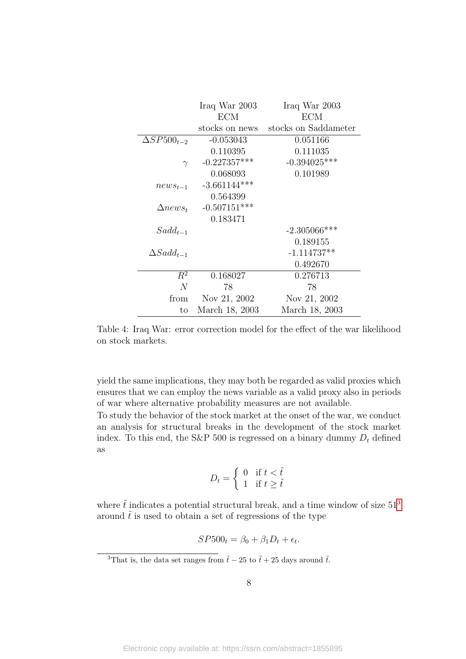<span id="page-9-0"></span>

|                      | Iraq War 2003  | Iraq War 2003        |
|----------------------|----------------|----------------------|
|                      | <b>ECM</b>     | ECM                  |
|                      | stocks on news | stocks on Saddameter |
| $\Delta SP500_{t-2}$ | $-0.053043$    | 0.051166             |
|                      | 0.110395       | 0.111035             |
| $\gamma$             | $-0.227357***$ | $-0.394025***$       |
|                      | 0.068093       | 0.101989             |
| $news_{t-1}$         | $-3.661144***$ |                      |
|                      | 0.564399       |                      |
| $\triangle news_t$   | $-0.507151***$ |                      |
|                      | 0.183471       |                      |
| $Sadd_{t-1}$         |                | $-2.305066$ ***      |
|                      |                | 0.189155             |
| $\Delta Sadd_{t-1}$  |                | $-1.114737**$        |
|                      |                | 0.492670             |
| $R^2$                | 0.168027       | 0.276713             |
| N                    | 78             | 78                   |
| from                 | Nov 21, 2002   | Nov 21, 2002         |
| $\rm{to}$            | March 18, 2003 | March 18, 2003       |

Table 4: Iraq War: error correction model for the effect of the war likelihood on stock markets.

yield the same implications, they may both be regarded as valid proxies which ensures that we can employ the news variable as a valid proxy also in periods of war where alternative probability measures are not available.

To study the behavior of the stock market at the onset of the war, we conduct an analysis for structural breaks in the development of the stock market index. To this end, the S&P 500 is regressed on a binary dummy  $D_t$  defined as

$$
D_t = \begin{cases} 0 & \text{if } t < \tilde{t} \\ 1 & \text{if } t \ge \tilde{t} \end{cases}
$$

where  $\tilde{t}$  indicates a potential structural break, and a time window of size  $51<sup>3</sup>$  $51<sup>3</sup>$  $51<sup>3</sup>$ around  $\tilde{t}$  is used to obtain a set of regressions of the type

$$
SP500_t = \beta_0 + \beta_1 D_t + \epsilon_t.
$$

<span id="page-9-1"></span><sup>&</sup>lt;sup>3</sup>That is, the data set ranges from  $\tilde{t}$  − 25 to  $\tilde{t}$  + 25 days around  $\tilde{t}$ .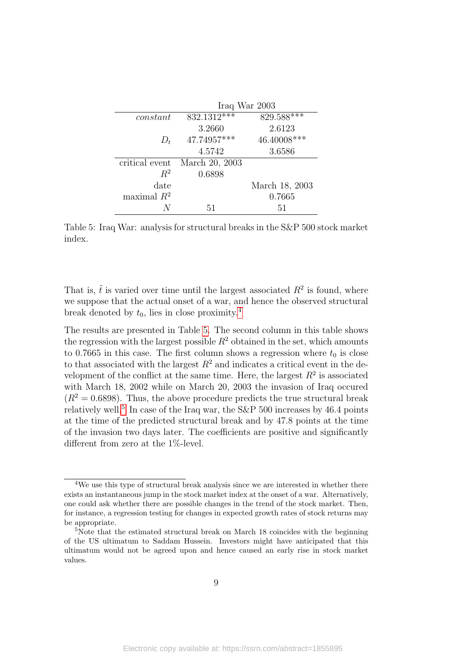<span id="page-10-1"></span>

|                | Iraq War 2003  |                |  |
|----------------|----------------|----------------|--|
| constant       | $832.1312***$  | 829.588***     |  |
|                | 3.2660         | 2.6123         |  |
| $D_t$          | 47.74957***    | 46.40008***    |  |
|                | 4.5742         | 3.6586         |  |
| critical event | March 20, 2003 |                |  |
| $R^2$          | 0.6898         |                |  |
| date           |                | March 18, 2003 |  |
| maximal $R^2$  |                | 0.7665         |  |
|                | 51             | 51             |  |

Table 5: Iraq War: analysis for structural breaks in the S&P 500 stock market index.

That is,  $\tilde{t}$  is varied over time until the largest associated  $R^2$  is found, where we suppose that the actual onset of a war, and hence the observed structural break denoted by  $t_0$ , lies in close proximity.<sup>[4](#page-10-0)</sup>

The results are presented in Table [5.](#page-10-1) The second column in this table shows the regression with the largest possible  $R^2$  obtained in the set, which amounts to 0.7665 in this case. The first column shows a regression where  $t_0$  is close to that associated with the largest  $R^2$  and indicates a critical event in the development of the conflict at the same time. Here, the largest  $R^2$  is associated with March 18, 2002 while on March 20, 2003 the invasion of Iraq occured  $(R^2 = 0.6898)$ . Thus, the above procedure predicts the true structural break relatively well.<sup>[5](#page-10-2)</sup> In case of the Iraq war, the S&P 500 increases by 46.4 points at the time of the predicted structural break and by 47.8 points at the time of the invasion two days later. The coefficients are positive and significantly different from zero at the 1%-level.

<span id="page-10-0"></span><sup>&</sup>lt;sup>4</sup>We use this type of structural break analysis since we are interested in whether there exists an instantaneous jump in the stock market index at the onset of a war. Alternatively, one could ask whether there are possible changes in the trend of the stock market. Then, for instance, a regression testing for changes in expected growth rates of stock returns may be appropriate.

<span id="page-10-2"></span><sup>5</sup>Note that the estimated structural break on March 18 coincides with the beginning of the US ultimatum to Saddam Hussein. Investors might have anticipated that this ultimatum would not be agreed upon and hence caused an early rise in stock market values.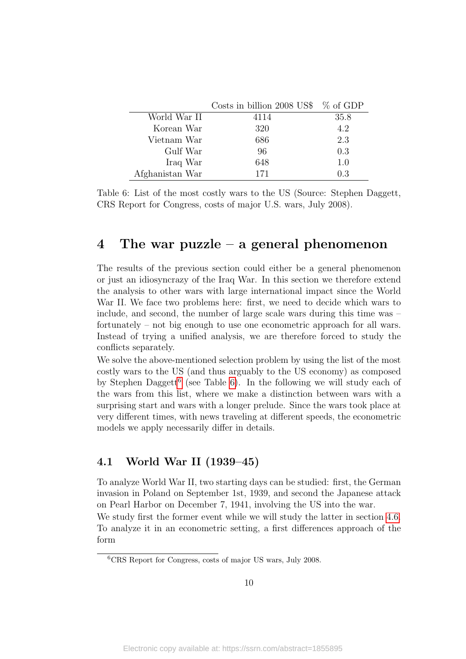<span id="page-11-2"></span>

|                 | Costs in billion 2008 US\$ $%$ of GDP |      |
|-----------------|---------------------------------------|------|
| World War II    | 4114                                  | 35.8 |
| Korean War      | 320                                   | 4.2  |
| Vietnam War     | 686                                   | 2.3  |
| Gulf War        | 96                                    | 0.3  |
| Iraq War        | 648                                   | 1.0  |
| Afghanistan War | 171                                   | 0.3  |

Table 6: List of the most costly wars to the US (Source: Stephen Daggett, CRS Report for Congress, costs of major U.S. wars, July 2008).

## <span id="page-11-0"></span>4 The war puzzle – a general phenomenon

The results of the previous section could either be a general phenomenon or just an idiosyncrazy of the Iraq War. In this section we therefore extend the analysis to other wars with large international impact since the World War II. We face two problems here: first, we need to decide which wars to include, and second, the number of large scale wars during this time was – fortunately – not big enough to use one econometric approach for all wars. Instead of trying a unified analysis, we are therefore forced to study the conflicts separately.

We solve the above-mentioned selection problem by using the list of the most costly wars to the US (and thus arguably to the US economy) as composed by Stephen Daggett<sup>[6](#page-11-1)</sup> (see Table  $6$ ). In the following we will study each of the wars from this list, where we make a distinction between wars with a surprising start and wars with a longer prelude. Since the wars took place at very different times, with news traveling at different speeds, the econometric models we apply necessarily differ in details.

#### 4.1 World War II (1939–45)

To analyze World War II, two starting days can be studied: first, the German invasion in Poland on September 1st, 1939, and second the Japanese attack on Pearl Harbor on December 7, 1941, involving the US into the war.

We study first the former event while we will study the latter in section [4.6.](#page-20-0) To analyze it in an econometric setting, a first differences approach of the form

<span id="page-11-1"></span><sup>6</sup>CRS Report for Congress, costs of major US wars, July 2008.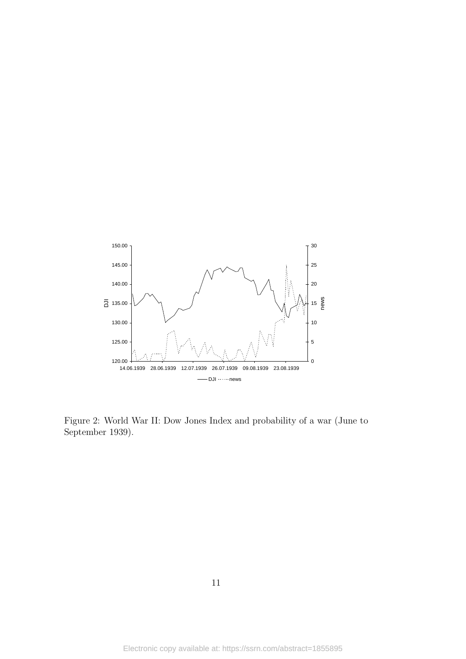<span id="page-12-0"></span>

Figure 2: World War II: Dow Jones Index and probability of a war (June to September 1939).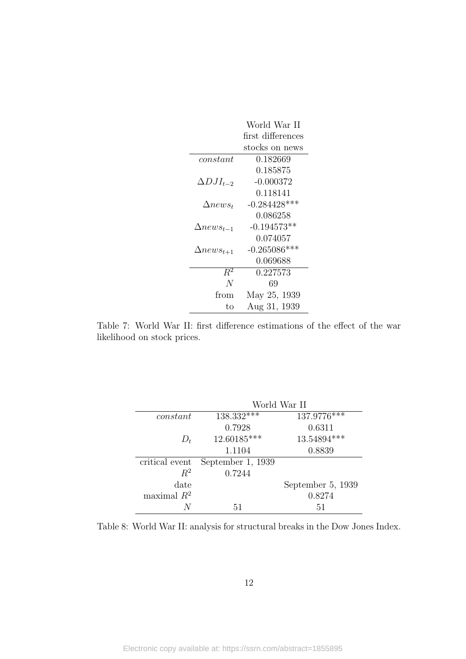<span id="page-13-0"></span>

|                     | World War II      |
|---------------------|-------------------|
|                     | first differences |
|                     | stocks on news    |
| constant            | 0.182669          |
|                     | 0.185875          |
| $\Delta DJI_{t-2}$  | $-0.000372$       |
|                     | 0.118141          |
| $\Delta news_t$     | $-0.284428***$    |
|                     | 0.086258          |
| $\Delta news_{t-1}$ | $-0.194573**$     |
|                     | 0.074057          |
| $\Delta news_{t+1}$ | $-0.265086***$    |
|                     | 0.069688          |
| $R^2$               | 0.227573          |
| N                   | 69                |
| from                | May 25, 1939      |
| to                  | Aug 31, 1939      |

Table 7: World War II: first difference estimations of the effect of the war likelihood on stock prices.

<span id="page-13-1"></span>

|                | World War II      |                   |
|----------------|-------------------|-------------------|
| constant       | 138.332***        | 137.9776***       |
|                | 0.7928            | 0.6311            |
| $D_t$          | 12.60185***       | 13.54894***       |
|                | 1.1104            | 0.8839            |
| critical event | September 1, 1939 |                   |
| $R^2$          | 0.7244            |                   |
| date           |                   | September 5, 1939 |
| maximal $R^2$  |                   | 0.8274            |
|                | 51                | 51                |

Table 8: World War II: analysis for structural breaks in the Dow Jones Index.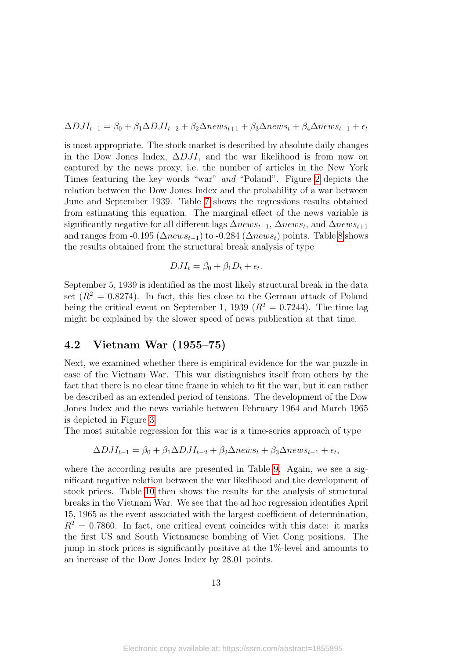$$
\Delta DJI_{t-1} = \beta_0 + \beta_1 \Delta DJI_{t-2} + \beta_2 \Delta news_{t+1} + \beta_3 \Delta news_t + \beta_4 \Delta news_{t-1} + \epsilon_t
$$

is most appropriate. The stock market is described by absolute daily changes in the Dow Jones Index,  $\Delta DJI$ , and the war likelihood is from now on captured by the news proxy, i.e. the number of articles in the New York Times featuring the key words "war" and "Poland". Figure [2](#page-12-0) depicts the relation between the Dow Jones Index and the probability of a war between June and September 1939. Table [7](#page-13-0) shows the regressions results obtained from estimating this equation. The marginal effect of the news variable is significantly negative for all different lags  $\Delta news_{t-1}$ ,  $\Delta news_t$ , and  $\Delta news_{t+1}$ and ranges from -0.195 ( $\Delta news_{t-1}$ ) to -0.284 ( $\Delta news_t$ ) points. Table [8](#page-13-1) shows the results obtained from the structural break analysis of type

$$
DJI_t = \beta_0 + \beta_1 D_t + \epsilon_t.
$$

September 5, 1939 is identified as the most likely structural break in the data set  $(R^2 = 0.8274)$ . In fact, this lies close to the German attack of Poland being the critical event on September 1, 1939 ( $R^2 = 0.7244$ ). The time lag might be explained by the slower speed of news publication at that time.

#### 4.2 Vietnam War (1955–75)

Next, we examined whether there is empirical evidence for the war puzzle in case of the Vietnam War. This war distinguishes itself from others by the fact that there is no clear time frame in which to fit the war, but it can rather be described as an extended period of tensions. The development of the Dow Jones Index and the news variable between February 1964 and March 1965 is depicted in Figure [3.](#page-15-0)

The most suitable regression for this war is a time-series approach of type

$$
\Delta DJI_{t-1} = \beta_0 + \beta_1 \Delta DJ_{t-2} + \beta_2 \Delta news_t + \beta_3 \Delta news_{t-1} + \epsilon_t,
$$

where the according results are presented in Table [9.](#page-16-0) Again, we see a significant negative relation between the war likelihood and the development of stock prices. Table [10](#page-16-1) then shows the results for the analysis of structural breaks in the Vietnam War. We see that the ad hoc regression identifies April 15, 1965 as the event associated with the largest coefficient of determination,  $R^2 = 0.7860$ . In fact, one critical event coincides with this date: it marks the first US and South Vietnamese bombing of Viet Cong positions. The jump in stock prices is significantly positive at the 1%-level and amounts to an increase of the Dow Jones Index by 28.01 points.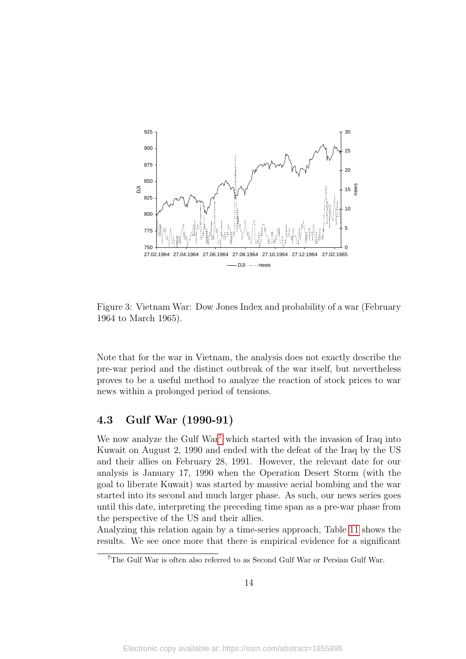<span id="page-15-0"></span>

Figure 3: Vietnam War: Dow Jones Index and probability of a war (February 1964 to March 1965).

Note that for the war in Vietnam, the analysis does not exactly describe the pre-war period and the distinct outbreak of the war itself, but nevertheless proves to be a useful method to analyze the reaction of stock prices to war news within a prolonged period of tensions.

#### 4.3 Gulf War (1990-91)

We now analyze the Gulf War<sup>[7](#page-15-1)</sup> which started with the invasion of Iraq into Kuwait on August 2, 1990 and ended with the defeat of the Iraq by the US and their allies on February 28, 1991. However, the relevant date for our analysis is January 17, 1990 when the Operation Desert Storm (with the goal to liberate Kuwait) was started by massive aerial bombing and the war started into its second and much larger phase. As such, our news series goes until this date, interpreting the preceding time span as a pre-war phase from the perspective of the US and their allies.

Analyzing this relation again by a time-series approach, Table [11](#page-17-0) shows the results. We see once more that there is empirical evidence for a significant

<span id="page-15-1"></span><sup>7</sup>The Gulf War is often also referred to as Second Gulf War or Persian Gulf War.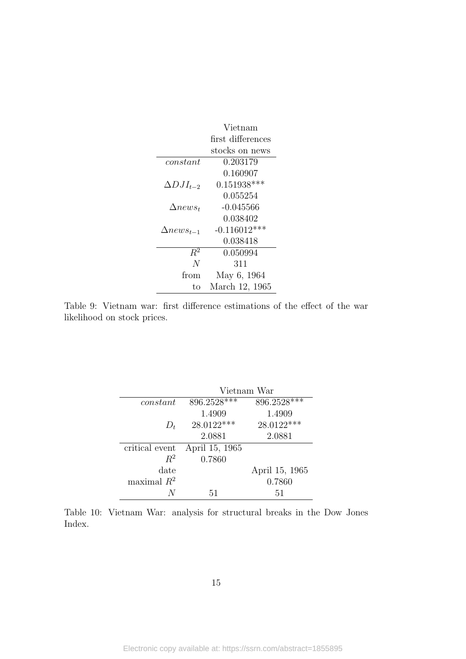<span id="page-16-0"></span>

|                     | Vietnam           |
|---------------------|-------------------|
|                     | first differences |
|                     | stocks on news    |
| constant            | 0.203179          |
|                     | 0.160907          |
| $\Delta DJI_{t-2}$  | $0.151938***$     |
|                     | 0.055254          |
| $\Delta news_t$     | -0.045566         |
|                     | 0.038402          |
| $\Delta news_{t-1}$ | $-0.116012***$    |
|                     | 0.038418          |
| $R^2$               | 0.050994          |
| N                   | 311               |
| from                | May 6, 1964       |
| to                  | March 12, 1965    |

Table 9: Vietnam war: first difference estimations of the effect of the war likelihood on stock prices.

<span id="page-16-1"></span>

|                | Vietnam War    |                |  |
|----------------|----------------|----------------|--|
| constant       | 896.2528***    | 896.2528***    |  |
|                | 1.4909         | 1.4909         |  |
| $D_t$          | $28.0122***$   | 28.0122***     |  |
|                | 2.0881         | 2.0881         |  |
| critical event | April 15, 1965 |                |  |
| $R^2$          | 0.7860         |                |  |
| date           |                | April 15, 1965 |  |
| maximal $R^2$  |                | 0.7860         |  |
|                | 51             | 51             |  |

Table 10: Vietnam War: analysis for structural breaks in the Dow Jones Index.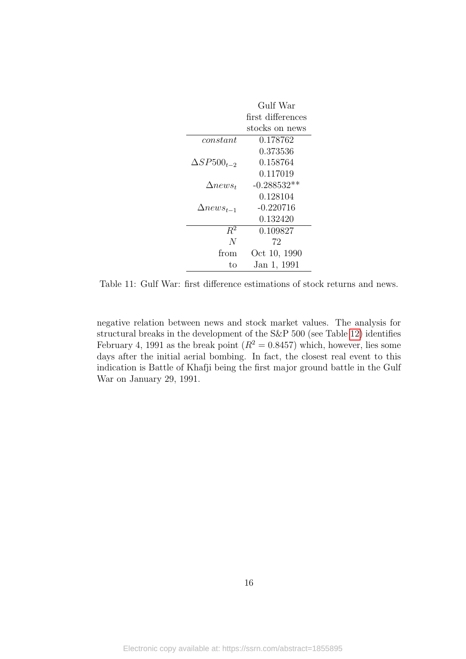<span id="page-17-0"></span>

|                        | Gulf War          |
|------------------------|-------------------|
|                        | first differences |
|                        | stocks on news    |
| constant               | 0.178762          |
|                        | 0.373536          |
| $\Delta SP500_{t-2}$   | 0.158764          |
|                        | 0.117019          |
| $\Delta news_t$        | $-0.288532**$     |
|                        | 0.128104          |
| $\triangle news_{t-1}$ | $-0.220716$       |
|                        | 0.132420          |
| $R^2$                  | 0.109827          |
| N                      | 72                |
| from                   | Oct 10, 1990      |
| tο                     | Jan 1, 1991       |

Table 11: Gulf War: first difference estimations of stock returns and news.

negative relation between news and stock market values. The analysis for structural breaks in the development of the S&P 500 (see Table [12\)](#page-18-0) identifies February 4, 1991 as the break point  $(R^2 = 0.8457)$  which, however, lies some days after the initial aerial bombing. In fact, the closest real event to this indication is Battle of Khafji being the first major ground battle in the Gulf War on January 29, 1991.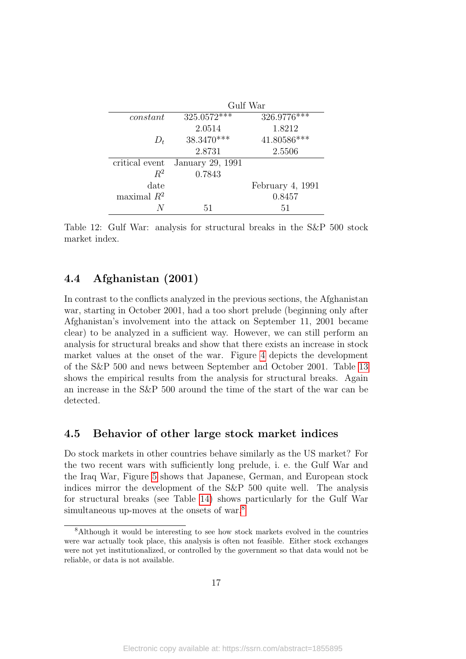<span id="page-18-0"></span>

|                | Gulf War         |                    |  |
|----------------|------------------|--------------------|--|
| constant       | $325.0572***$    | 326.9776***        |  |
|                | 2.0514           | 1.8212             |  |
| $D_t$          | 38.3470***       | 41.80586***        |  |
|                | 2.8731           | 2.5506             |  |
| critical event | January 29, 1991 |                    |  |
| $R^2$          | 0.7843           |                    |  |
| date           |                  | February 4, $1991$ |  |
| maximal $R^2$  |                  | 0.8457             |  |
|                | 51               | 51                 |  |

Table 12: Gulf War: analysis for structural breaks in the S&P 500 stock market index.

#### 4.4 Afghanistan (2001)

In contrast to the conflicts analyzed in the previous sections, the Afghanistan war, starting in October 2001, had a too short prelude (beginning only after Afghanistan's involvement into the attack on September 11, 2001 became clear) to be analyzed in a sufficient way. However, we can still perform an analysis for structural breaks and show that there exists an increase in stock market values at the onset of the war. Figure [4](#page-19-0) depicts the development of the S&P 500 and news between September and October 2001. Table [13](#page-19-1) shows the empirical results from the analysis for structural breaks. Again an increase in the S&P 500 around the time of the start of the war can be detected.

#### <span id="page-18-2"></span>4.5 Behavior of other large stock market indices

Do stock markets in other countries behave similarly as the US market? For the two recent wars with sufficiently long prelude, i. e. the Gulf War and the Iraq War, Figure [5](#page-20-1) shows that Japanese, German, and European stock indices mirror the development of the S&P 500 quite well. The analysis for structural breaks (see Table [14\)](#page-20-2) shows particularly for the Gulf War simultaneous up-moves at the onsets of war.<sup>[8](#page-18-1)</sup>

<span id="page-18-1"></span><sup>8</sup>Although it would be interesting to see how stock markets evolved in the countries were war actually took place, this analysis is often not feasible. Either stock exchanges were not yet institutionalized, or controlled by the government so that data would not be reliable, or data is not available.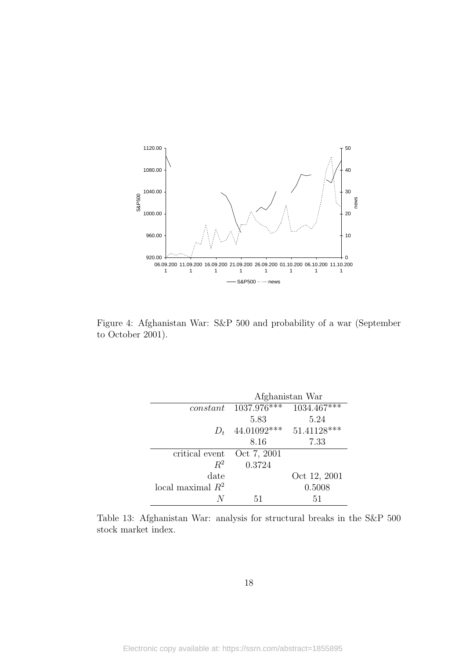<span id="page-19-0"></span>

Figure 4: Afghanistan War: S&P 500 and probability of a war (September to October 2001).

<span id="page-19-1"></span>

|                     | Afghanistan War |               |  |
|---------------------|-----------------|---------------|--|
| constant            | $1037.976***$   | $1034.467***$ |  |
|                     | 5.83            | 5.24          |  |
| $D_{t}$             | 44.01092***     | 51.41128***   |  |
|                     | 8.16            | 7.33          |  |
| critical event      | Oct 7, 2001     |               |  |
| $R^2$               | 0.3724          |               |  |
| date                |                 | Oct 12, 2001  |  |
| local maximal $R^2$ |                 | 0.5008        |  |
|                     | 51              | 51            |  |

Table 13: Afghanistan War: analysis for structural breaks in the S&P 500 stock market index.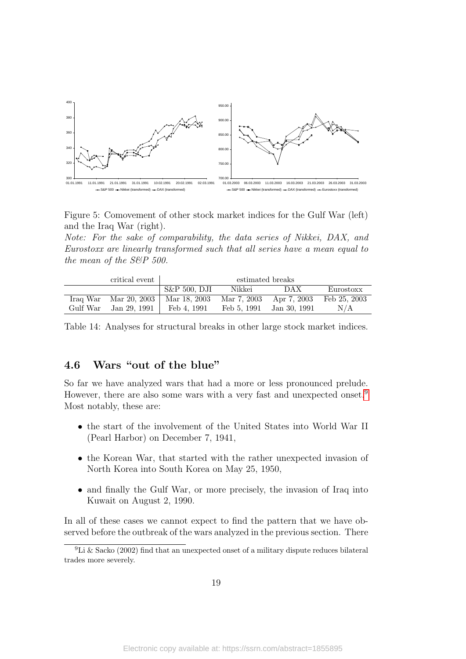<span id="page-20-1"></span>

Figure 5: Comovement of other stock market indices for the Gulf War (left) and the Iraq War (right).

Note: For the sake of comparability, the data series of Nikkei, DAX, and Eurostoxx are linearly transformed such that all series have a mean equal to the mean of the S&P 500.

<span id="page-20-2"></span>

|          | critical event | estimated breaks |             |              |              |
|----------|----------------|------------------|-------------|--------------|--------------|
|          |                | $S\&P500, DJI$   | Nikkei      | DAX          | Eurostoxx    |
| Iraq War | Mar 20, 2003   | Mar 18, 2003     | Mar 7, 2003 | Apr 7, 2003  | Feb 25, 2003 |
| Gulf War | Jan 29, 1991   | Feb 4, 1991      | Feb 5, 1991 | Jan 30. 1991 | N/A          |

Table 14: Analyses for structural breaks in other large stock market indices.

#### <span id="page-20-0"></span>4.6 Wars "out of the blue"

So far we have analyzed wars that had a more or less pronounced prelude. However, there are also some wars with a very fast and unexpected onset.<sup>[9](#page-20-3)</sup> Most notably, these are:

- the start of the involvement of the United States into World War II (Pearl Harbor) on December 7, 1941,
- the Korean War, that started with the rather unexpected invasion of North Korea into South Korea on May 25, 1950,
- and finally the Gulf War, or more precisely, the invasion of Iraq into Kuwait on August 2, 1990.

In all of these cases we cannot expect to find the pattern that we have observed before the outbreak of the wars analyzed in the previous section. There

<span id="page-20-3"></span><sup>&</sup>lt;sup>9</sup>Li & Sacko (2002) find that an unexpected onset of a military dispute reduces bilateral trades more severely.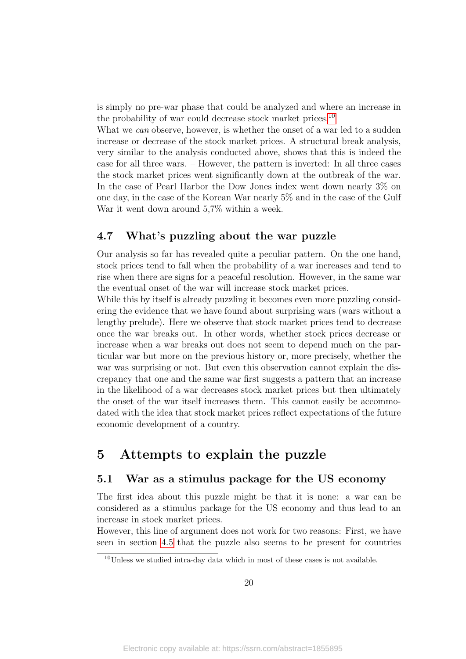is simply no pre-war phase that could be analyzed and where an increase in the probability of war could decrease stock market prices.<sup>[10](#page-21-1)</sup>

What we *can* observe, however, is whether the onset of a war led to a sudden increase or decrease of the stock market prices. A structural break analysis, very similar to the analysis conducted above, shows that this is indeed the case for all three wars. – However, the pattern is inverted: In all three cases the stock market prices went significantly down at the outbreak of the war. In the case of Pearl Harbor the Dow Jones index went down nearly 3% on one day, in the case of the Korean War nearly 5% and in the case of the Gulf War it went down around 5,7% within a week.

#### 4.7 What's puzzling about the war puzzle

Our analysis so far has revealed quite a peculiar pattern. On the one hand, stock prices tend to fall when the probability of a war increases and tend to rise when there are signs for a peaceful resolution. However, in the same war the eventual onset of the war will increase stock market prices.

While this by itself is already puzzling it becomes even more puzzling considering the evidence that we have found about surprising wars (wars without a lengthy prelude). Here we observe that stock market prices tend to decrease once the war breaks out. In other words, whether stock prices decrease or increase when a war breaks out does not seem to depend much on the particular war but more on the previous history or, more precisely, whether the war was surprising or not. But even this observation cannot explain the discrepancy that one and the same war first suggests a pattern that an increase in the likelihood of a war decreases stock market prices but then ultimately the onset of the war itself increases them. This cannot easily be accommodated with the idea that stock market prices reflect expectations of the future economic development of a country.

# <span id="page-21-0"></span>5 Attempts to explain the puzzle

#### 5.1 War as a stimulus package for the US economy

The first idea about this puzzle might be that it is none: a war can be considered as a stimulus package for the US economy and thus lead to an increase in stock market prices.

However, this line of argument does not work for two reasons: First, we have seen in section [4.5](#page-18-2) that the puzzle also seems to be present for countries

<span id="page-21-1"></span> $10$ Unless we studied intra-day data which in most of these cases is not available.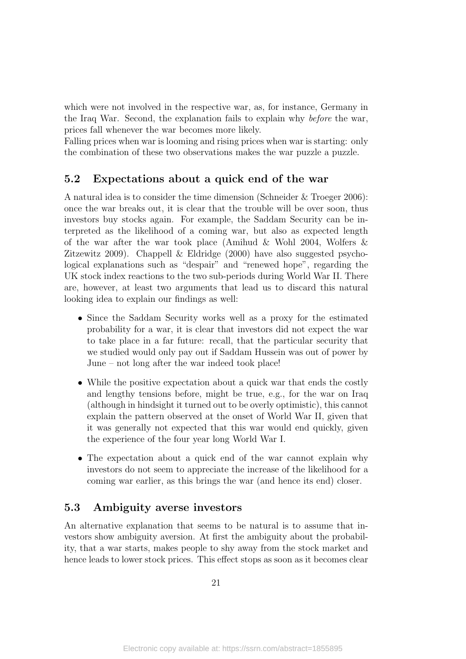which were not involved in the respective war, as, for instance, Germany in the Iraq War. Second, the explanation fails to explain why before the war, prices fall whenever the war becomes more likely.

Falling prices when war is looming and rising prices when war is starting: only the combination of these two observations makes the war puzzle a puzzle.

### 5.2 Expectations about a quick end of the war

A natural idea is to consider the time dimension (Schneider & Troeger 2006): once the war breaks out, it is clear that the trouble will be over soon, thus investors buy stocks again. For example, the Saddam Security can be interpreted as the likelihood of a coming war, but also as expected length of the war after the war took place (Amihud & Wohl 2004, Wolfers & Zitzewitz 2009). Chappell & Eldridge (2000) have also suggested psychological explanations such as "despair" and "renewed hope", regarding the UK stock index reactions to the two sub-periods during World War II. There are, however, at least two arguments that lead us to discard this natural looking idea to explain our findings as well:

- Since the Saddam Security works well as a proxy for the estimated probability for a war, it is clear that investors did not expect the war to take place in a far future: recall, that the particular security that we studied would only pay out if Saddam Hussein was out of power by June – not long after the war indeed took place!
- While the positive expectation about a quick war that ends the costly and lengthy tensions before, might be true, e.g., for the war on Iraq (although in hindsight it turned out to be overly optimistic), this cannot explain the pattern observed at the onset of World War II, given that it was generally not expected that this war would end quickly, given the experience of the four year long World War I.
- The expectation about a quick end of the war cannot explain why investors do not seem to appreciate the increase of the likelihood for a coming war earlier, as this brings the war (and hence its end) closer.

### 5.3 Ambiguity averse investors

An alternative explanation that seems to be natural is to assume that investors show ambiguity aversion. At first the ambiguity about the probability, that a war starts, makes people to shy away from the stock market and hence leads to lower stock prices. This effect stops as soon as it becomes clear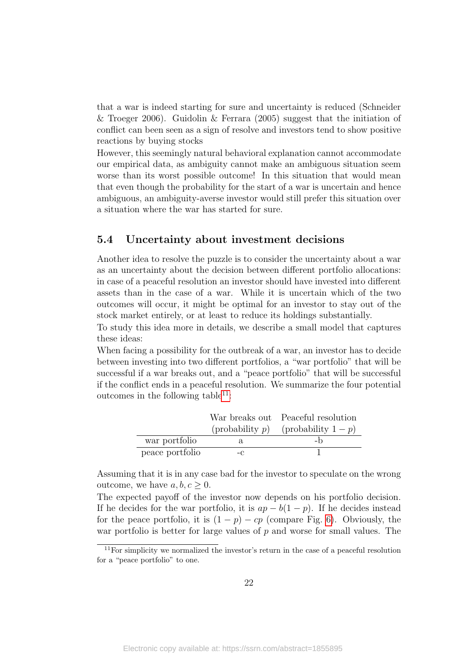that a war is indeed starting for sure and uncertainty is reduced (Schneider & Troeger 2006). Guidolin & Ferrara (2005) suggest that the initiation of conflict can been seen as a sign of resolve and investors tend to show positive reactions by buying stocks

However, this seemingly natural behavioral explanation cannot accommodate our empirical data, as ambiguity cannot make an ambiguous situation seem worse than its worst possible outcome! In this situation that would mean that even though the probability for the start of a war is uncertain and hence ambiguous, an ambiguity-averse investor would still prefer this situation over a situation where the war has started for sure.

#### 5.4 Uncertainty about investment decisions

Another idea to resolve the puzzle is to consider the uncertainty about a war as an uncertainty about the decision between different portfolio allocations: in case of a peaceful resolution an investor should have invested into different assets than in the case of a war. While it is uncertain which of the two outcomes will occur, it might be optimal for an investor to stay out of the stock market entirely, or at least to reduce its holdings substantially.

To study this idea more in details, we describe a small model that captures these ideas:

When facing a possibility for the outbreak of a war, an investor has to decide between investing into two different portfolios, a "war portfolio" that will be successful if a war breaks out, and a "peace portfolio" that will be successful if the conflict ends in a peaceful resolution. We summarize the four potential outcomes in the following table<sup>[11](#page-23-0)</sup>:

|                 |      | War breaks out Peaceful resolution   |
|-----------------|------|--------------------------------------|
|                 |      | (probability p) (probability $1-p$ ) |
| war portfolio   | 'n.  | -h                                   |
| peace portfolio | $-c$ |                                      |

Assuming that it is in any case bad for the investor to speculate on the wrong outcome, we have  $a, b, c \geq 0$ .

The expected payoff of the investor now depends on his portfolio decision. If he decides for the war portfolio, it is  $ap - b(1 - p)$ . If he decides instead for the peace portfolio, it is  $(1 - p) - cp$  (compare Fig. [6\)](#page-24-0). Obviously, the war portfolio is better for large values of  $p$  and worse for small values. The

<span id="page-23-0"></span> $11$  For simplicity we normalized the investor's return in the case of a peaceful resolution for a "peace portfolio" to one.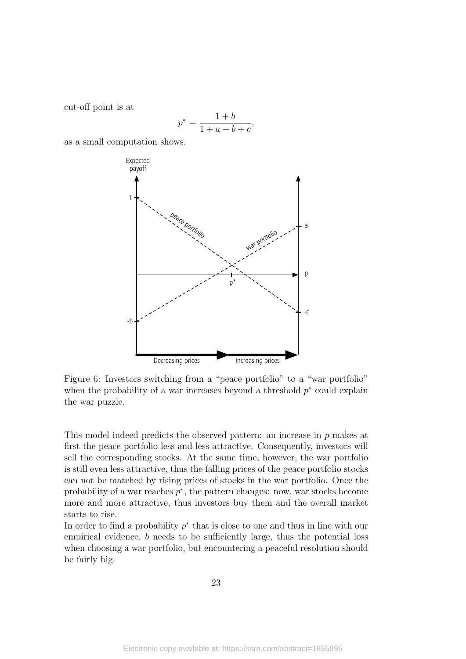cut-off point is at

$$
p^* = \frac{1+b}{1+a+b+c},
$$

<span id="page-24-0"></span>as a small computation shows.



Figure 6: Investors switching from a "peace portfolio" to a "war portfolio" when the probability of a war increases beyond a threshold  $p^*$  could explain the war puzzle.

This model indeed predicts the observed pattern: an increase in p makes at first the peace portfolio less and less attractive. Consequently, investors will sell the corresponding stocks. At the same time, however, the war portfolio is still even less attractive, thus the falling prices of the peace portfolio stocks can not be matched by rising prices of stocks in the war portfolio. Once the probability of a war reaches  $p^*$ , the pattern changes: now, war stocks become more and more attractive, thus investors buy them and the overall market starts to rise.

In order to find a probability  $p^*$  that is close to one and thus in line with our empirical evidence, b needs to be sufficiently large, thus the potential loss when choosing a war portfolio, but encountering a peaceful resolution should be fairly big.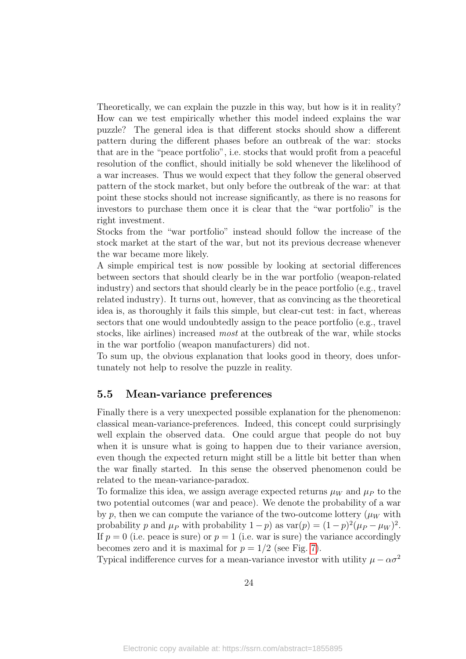Theoretically, we can explain the puzzle in this way, but how is it in reality? How can we test empirically whether this model indeed explains the war puzzle? The general idea is that different stocks should show a different pattern during the different phases before an outbreak of the war: stocks that are in the "peace portfolio", i.e. stocks that would profit from a peaceful resolution of the conflict, should initially be sold whenever the likelihood of a war increases. Thus we would expect that they follow the general observed pattern of the stock market, but only before the outbreak of the war: at that point these stocks should not increase significantly, as there is no reasons for investors to purchase them once it is clear that the "war portfolio" is the right investment.

Stocks from the "war portfolio" instead should follow the increase of the stock market at the start of the war, but not its previous decrease whenever the war became more likely.

A simple empirical test is now possible by looking at sectorial differences between sectors that should clearly be in the war portfolio (weapon-related industry) and sectors that should clearly be in the peace portfolio (e.g., travel related industry). It turns out, however, that as convincing as the theoretical idea is, as thoroughly it fails this simple, but clear-cut test: in fact, whereas sectors that one would undoubtedly assign to the peace portfolio (e.g., travel stocks, like airlines) increased most at the outbreak of the war, while stocks in the war portfolio (weapon manufacturers) did not.

To sum up, the obvious explanation that looks good in theory, does unfortunately not help to resolve the puzzle in reality.

#### 5.5 Mean-variance preferences

Finally there is a very unexpected possible explanation for the phenomenon: classical mean-variance-preferences. Indeed, this concept could surprisingly well explain the observed data. One could argue that people do not buy when it is unsure what is going to happen due to their variance aversion, even though the expected return might still be a little bit better than when the war finally started. In this sense the observed phenomenon could be related to the mean-variance-paradox.

To formalize this idea, we assign average expected returns  $\mu_W$  and  $\mu_P$  to the two potential outcomes (war and peace). We denote the probability of a war by p, then we can compute the variance of the two-outcome lottery  $(\mu_W$  with probability p and  $\mu_P$  with probability  $1-p$ ) as  $var(p) = (1-p)^2(\mu_P - \mu_W)^2$ . If  $p = 0$  (i.e. peace is sure) or  $p = 1$  (i.e. war is sure) the variance accordingly becomes zero and it is maximal for  $p = 1/2$  (see Fig. [7\)](#page-26-0).

Typical indifference curves for a mean-variance investor with utility  $\mu - \alpha \sigma^2$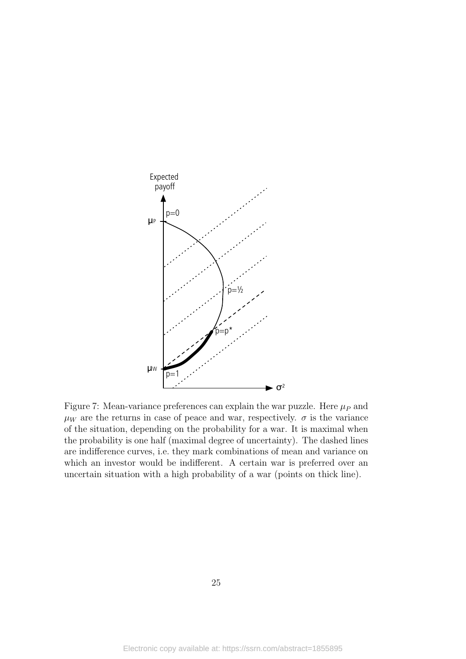<span id="page-26-0"></span>

Figure 7: Mean-variance preferences can explain the war puzzle. Here  $\mu_P$  and  $\mu_W$  are the returns in case of peace and war, respectively.  $\sigma$  is the variance of the situation, depending on the probability for a war. It is maximal when the probability is one half (maximal degree of uncertainty). The dashed lines are indifference curves, i.e. they mark combinations of mean and variance on which an investor would be indifferent. A certain war is preferred over an uncertain situation with a high probability of a war (points on thick line).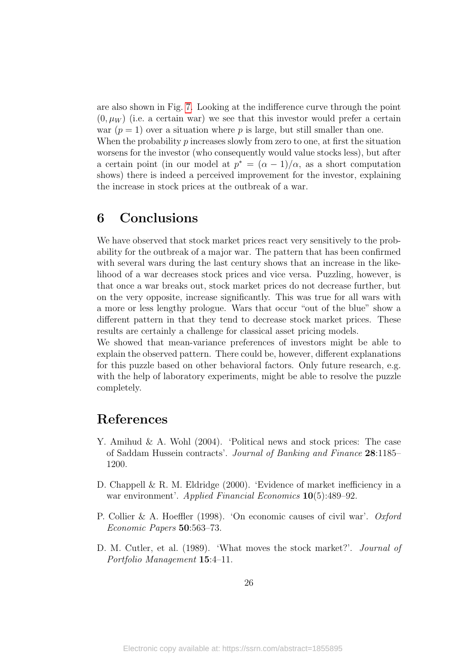are also shown in Fig. [7.](#page-26-0) Looking at the indifference curve through the point  $(0, \mu_W)$  (i.e. a certain war) we see that this investor would prefer a certain war  $(p = 1)$  over a situation where p is large, but still smaller than one.

When the probability  $p$  increases slowly from zero to one, at first the situation worsens for the investor (who consequently would value stocks less), but after a certain point (in our model at  $p^* = (\alpha - 1)/\alpha$ , as a short computation shows) there is indeed a perceived improvement for the investor, explaining the increase in stock prices at the outbreak of a war.

### <span id="page-27-0"></span>6 Conclusions

We have observed that stock market prices react very sensitively to the probability for the outbreak of a major war. The pattern that has been confirmed with several wars during the last century shows that an increase in the likelihood of a war decreases stock prices and vice versa. Puzzling, however, is that once a war breaks out, stock market prices do not decrease further, but on the very opposite, increase significantly. This was true for all wars with a more or less lengthy prologue. Wars that occur "out of the blue" show a different pattern in that they tend to decrease stock market prices. These results are certainly a challenge for classical asset pricing models.

We showed that mean-variance preferences of investors might be able to explain the observed pattern. There could be, however, different explanations for this puzzle based on other behavioral factors. Only future research, e.g. with the help of laboratory experiments, might be able to resolve the puzzle completely.

# References

- Y. Amihud & A. Wohl (2004). 'Political news and stock prices: The case of Saddam Hussein contracts'. Journal of Banking and Finance 28:1185– 1200.
- D. Chappell & R. M. Eldridge (2000). 'Evidence of market inefficiency in a war environment'. Applied Financial Economics 10(5):489–92.
- P. Collier & A. Hoeffler (1998). 'On economic causes of civil war'. Oxford Economic Papers 50:563–73.
- D. M. Cutler, et al. (1989). 'What moves the stock market?'. Journal of Portfolio Management 15:4-11.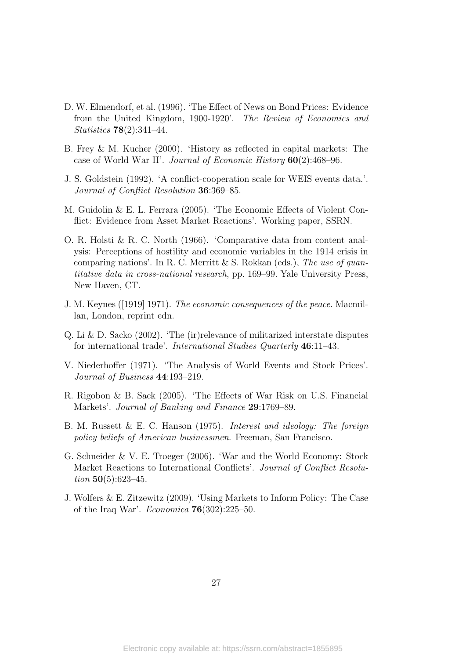- D. W. Elmendorf, et al. (1996). 'The Effect of News on Bond Prices: Evidence from the United Kingdom, 1900-1920'. The Review of Economics and Statistics 78(2):341–44.
- B. Frey & M. Kucher (2000). 'History as reflected in capital markets: The case of World War II'. Journal of Economic History 60(2):468–96.
- J. S. Goldstein (1992). 'A conflict-cooperation scale for WEIS events data.'. Journal of Conflict Resolution 36:369–85.
- M. Guidolin & E. L. Ferrara (2005). 'The Economic Effects of Violent Conflict: Evidence from Asset Market Reactions'. Working paper, SSRN.
- O. R. Holsti & R. C. North (1966). 'Comparative data from content analysis: Perceptions of hostility and economic variables in the 1914 crisis in comparing nations'. In R. C. Merritt  $\& S$ . Rokkan (eds.), The use of quantitative data in cross-national research, pp. 169–99. Yale University Press, New Haven, CT.
- J. M. Keynes ([1919] 1971). The economic consequences of the peace. Macmillan, London, reprint edn.
- Q. Li & D. Sacko (2002). 'The (ir)relevance of militarized interstate disputes for international trade'. International Studies Quarterly 46:11–43.
- V. Niederhoffer (1971). 'The Analysis of World Events and Stock Prices'. Journal of Business 44:193–219.
- R. Rigobon & B. Sack (2005). 'The Effects of War Risk on U.S. Financial Markets'. Journal of Banking and Finance 29:1769–89.
- B. M. Russett & E. C. Hanson (1975). Interest and ideology: The foreign policy beliefs of American businessmen. Freeman, San Francisco.
- G. Schneider & V. E. Troeger (2006). 'War and the World Economy: Stock Market Reactions to International Conflicts'. Journal of Conflict Resolu*tion*  $50(5):623-45$ .
- J. Wolfers & E. Zitzewitz (2009). 'Using Markets to Inform Policy: The Case of the Iraq War'. Economica 76(302):225–50.